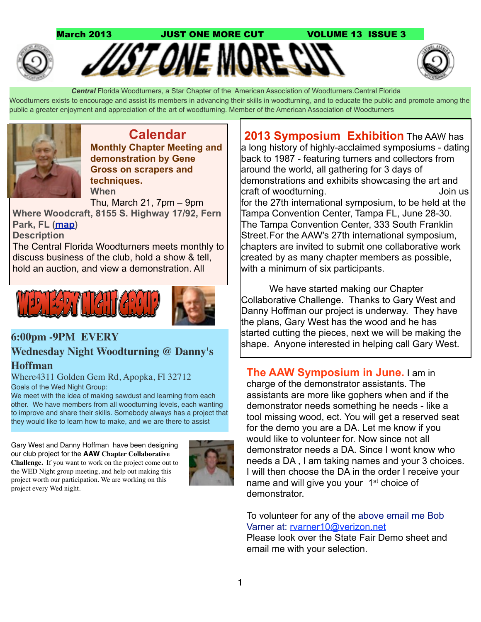

 *Central* Florida Woodturners, a Star Chapter of the American Association of Woodturners.Central Florida Woodturners exists to encourage and assist its members in advancing their skills in woodturning, and to educate the public and promote among the public a greater enjoyment and appreciation of the art of woodturning. Member of the American Association of Woodturners



**Calendar Monthly Chapter Meeting and demonstration by Gene Gross on scrapers and techniques. When**

Thu, March 21, 7pm – 9pm **Where Woodcraft, 8155 S. Highway 17/92, Fern Park, FL [\(map\)](http://maps.google.com/maps?hl=en&q=Woodcraft%2C%208155%20S.%20Highway%2017%2F92%2C%20Fern%20Park%2C%20FL)**

**Description**

The Central Florida Woodturners meets monthly to discuss business of the club, hold a show & tell, hold an auction, and view a demonstration. All



# **Wednesday Night Woodturning @ Danny's Hoffman**

Where4311 Golden Gem Rd, Apopka, Fl 32712 Goals of the Wed Night Group:

We meet with the idea of making sawdust and learning from each other. We have members from all woodturning levels, each wanting to improve and share their skills. Somebody always has a project that they would like to learn how to make, and we are there to assist

Gary West and Danny Hoffman have been designing our club project for the **AAW Chapter Collaborative Challenge.** If you want to work on the project come out to the WED Night group meeting, and help out making this project worth our participation. We are working on this project every Wed night.



**2013 Symposium Exhibition** The AAW has a long history of highly-acclaimed symposiums - dating back to 1987 - featuring turners and collectors from around the world, all gathering for 3 days of demonstrations and exhibits showcasing the art and craft of woodturning. The state of the United States of the United States of the United States of the United S for the 27th international symposium, to be held at the Tampa Convention Center, Tampa FL, June 28-30. The Tampa Convention Center, 333 South Franklin Street. For the AAW's 27th international symposium, chapters are invited to submit one collaborative work created by as many chapter members as possible, with a minimum of six participants.

 We have started making our Chapter Collaborative Challenge. Thanks to Gary West and Danny Hoffman our project is underway. They have the plans, Gary West has the wood and he has started cutting the pieces, next we will be making the shape. Anyone interested in helping call Gary West. **6:00pm -9PM EVERY** 

> **The AAW Symposium in June.** I am in charge of the demonstrator assistants. The assistants are more like gophers when and if the demonstrator needs something he needs - like a tool missing wood, ect. You will get a reserved seat for the demo you are a DA. Let me know if you would like to volunteer for. Now since not all demonstrator needs a DA. Since I wont know who needs a DA , I am taking names and your 3 choices. I will then choose the DA in the order I receive your name and will give you your 1<sup>st</sup> choice of demonstrator.

To volunteer for any of the above email me Bob Varner at: [rvarner10@verizon.net](mailto:rvarner10@verizon.net) 

Please look over the State Fair Demo sheet and email me with your selection.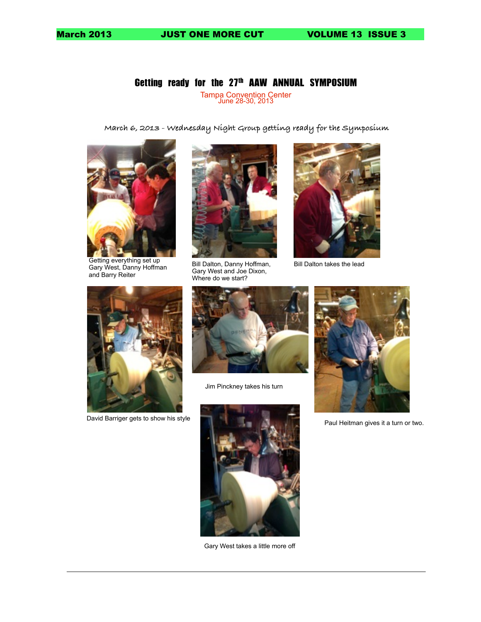March 2013 JUST ONE MORE CUT VOLUME 13 ISSUE 3

## Getting ready for the 27th AAW ANNUAL SYMPOSIUM

Tampa Convention Center June 28-30, 2013

**March 6, 2013 - Wednesday Night Group getting ready for the Symposium**



Getting everything set up Gary West, Danny Hoffman and Barry Reiter



Bill Dalton, Danny Hoffman, Gary West and Joe Dixon, Where do we start?



Bill Dalton takes the lead





Jim Pinckney takes his turn



Gary West takes a little more off